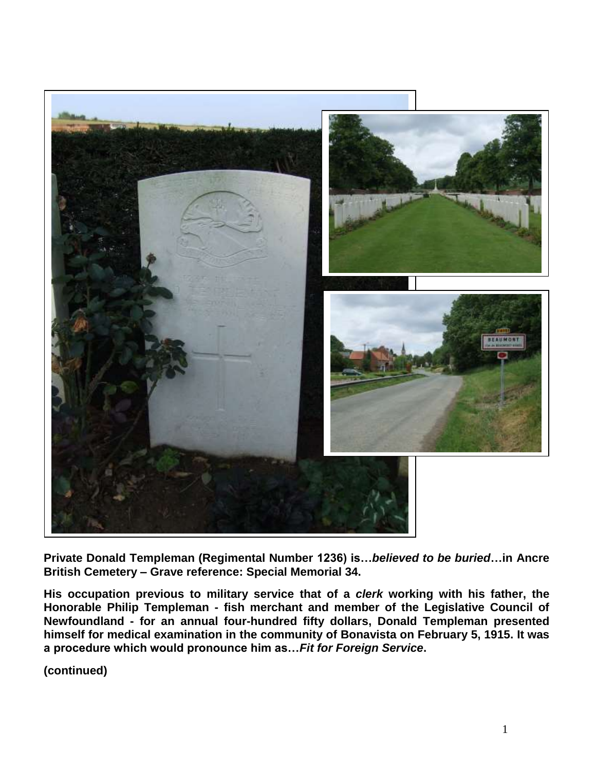

**Private Donald Templeman (Regimental Number 1236) is…***believed to be buried***…in Ancre British Cemetery – Grave reference: Special Memorial 34.** 

**His occupation previous to military service that of a** *clerk* **working with his father, the Honorable Philip Templeman - fish merchant and member of the Legislative Council of Newfoundland - for an annual four-hundred fifty dollars, Donald Templeman presented himself for medical examination in the community of Bonavista on February 5, 1915. It was a procedure which would pronounce him as…***Fit for Foreign Service***.**

**(continued)**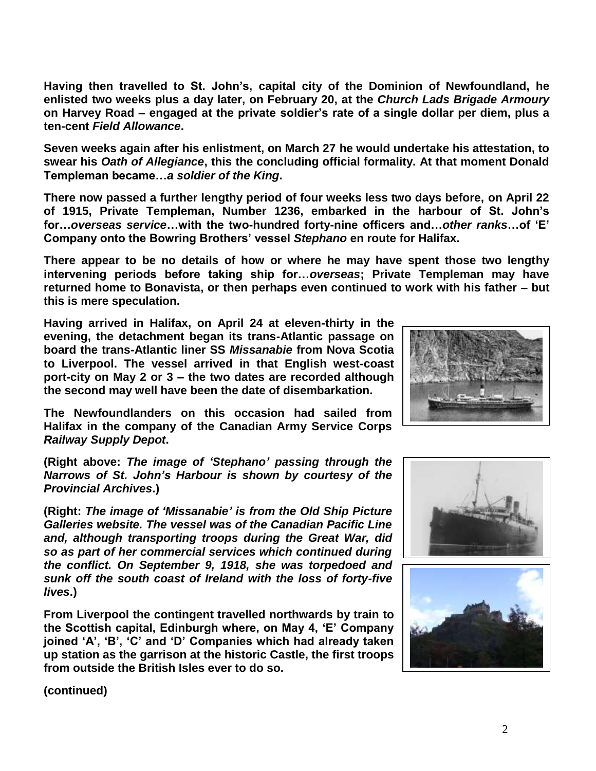**Having then travelled to St. John's, capital city of the Dominion of Newfoundland, he enlisted two weeks plus a day later, on February 20, at the** *Church Lads Brigade Armoury* **on Harvey Road – engaged at the private soldier's rate of a single dollar per diem, plus a ten-cent** *Field Allowance***.**

**Seven weeks again after his enlistment, on March 27 he would undertake his attestation, to swear his** *Oath of Allegiance***, this the concluding official formality. At that moment Donald Templeman became…***a soldier of the King***.**

**There now passed a further lengthy period of four weeks less two days before, on April 22 of 1915, Private Templeman, Number 1236, embarked in the harbour of St. John's for…***overseas service***…with the two-hundred forty-nine officers and…***other ranks***…of 'E' Company onto the Bowring Brothers' vessel** *Stephano* **en route for Halifax.** 

**There appear to be no details of how or where he may have spent those two lengthy intervening periods before taking ship for…***overseas***; Private Templeman may have returned home to Bonavista, or then perhaps even continued to work with his father – but this is mere speculation.** 

**Having arrived in Halifax, on April 24 at eleven-thirty in the evening, the detachment began its trans-Atlantic passage on board the trans-Atlantic liner SS** *Missanabie* **from Nova Scotia to Liverpool. The vessel arrived in that English west-coast port-city on May 2 or 3 – the two dates are recorded although the second may well have been the date of disembarkation.** 

**The Newfoundlanders on this occasion had sailed from Halifax in the company of the Canadian Army Service Corps**  *Railway Supply Depot***.**

**(Right above:** *The image of 'Stephano' passing through the Narrows of St. John's Harbour is shown by courtesy of the Provincial Archives***.)**

**(Right:** *The image of 'Missanabie' is from the Old Ship Picture Galleries website. The vessel was of the Canadian Pacific Line and, although transporting troops during the Great War, did so as part of her commercial services which continued during the conflict. On September 9, 1918, she was torpedoed and sunk off the south coast of Ireland with the loss of forty-five lives***.)**

**From Liverpool the contingent travelled northwards by train to the Scottish capital, Edinburgh where, on May 4, 'E' Company joined 'A', 'B', 'C' and 'D' Companies which had already taken up station as the garrison at the historic Castle, the first troops from outside the British Isles ever to do so.**



**(continued)**

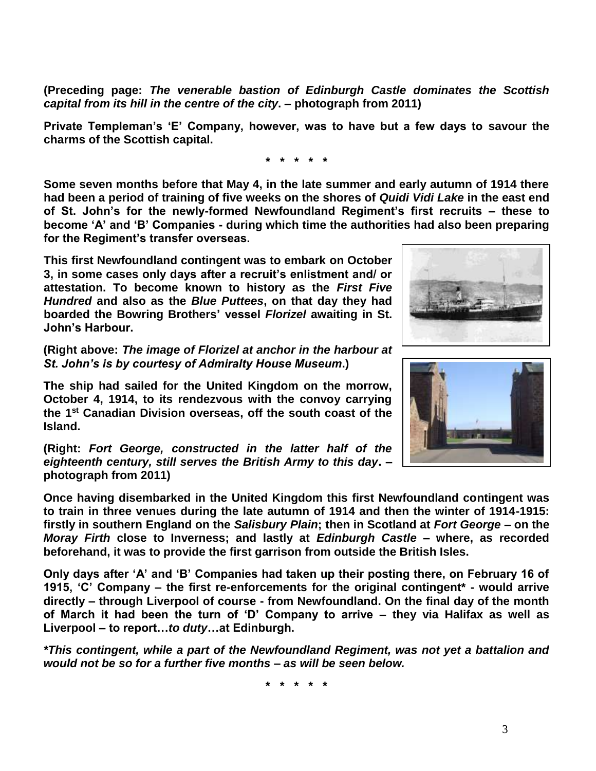**(Preceding page:** *The venerable bastion of Edinburgh Castle dominates the Scottish capital from its hill in the centre of the city***. – photograph from 2011)**

**Private Templeman's 'E' Company, however, was to have but a few days to savour the charms of the Scottish capital.**

**\* \* \* \* \***

**Some seven months before that May 4, in the late summer and early autumn of 1914 there had been a period of training of five weeks on the shores of** *Quidi Vidi Lake* **in the east end of St. John's for the newly-formed Newfoundland Regiment's first recruits – these to become 'A' and 'B' Companies - during which time the authorities had also been preparing for the Regiment's transfer overseas.**

**This first Newfoundland contingent was to embark on October 3, in some cases only days after a recruit's enlistment and/ or attestation. To become known to history as the** *First Five Hundred* **and also as the** *Blue Puttees***, on that day they had boarded the Bowring Brothers' vessel** *Florizel* **awaiting in St. John's Harbour.**

**(Right above:** *The image of Florizel at anchor in the harbour at St. John's is by courtesy of Admiralty House Museum***.)**

**The ship had sailed for the United Kingdom on the morrow, October 4, 1914, to its rendezvous with the convoy carrying the 1st Canadian Division overseas, off the south coast of the Island.** 

**(Right:** *Fort George, constructed in the latter half of the eighteenth century, still serves the British Army to this day***. – photograph from 2011)**

**Once having disembarked in the United Kingdom this first Newfoundland contingent was to train in three venues during the late autumn of 1914 and then the winter of 1914-1915: firstly in southern England on the** *Salisbury Plain***; then in Scotland at** *Fort George* **– on the**  *Moray Firth* **close to Inverness; and lastly at** *Edinburgh Castle* **– where, as recorded beforehand, it was to provide the first garrison from outside the British Isles.** 

**Only days after 'A' and 'B' Companies had taken up their posting there, on February 16 of 1915, 'C' Company – the first re-enforcements for the original contingent\* - would arrive directly – through Liverpool of course - from Newfoundland. On the final day of the month of March it had been the turn of 'D' Company to arrive – they via Halifax as well as Liverpool – to report…***to duty***…at Edinburgh.**

*\*This contingent, while a part of the Newfoundland Regiment, was not yet a battalion and would not be so for a further five months – as will be seen below.*

**\* \* \* \* \***



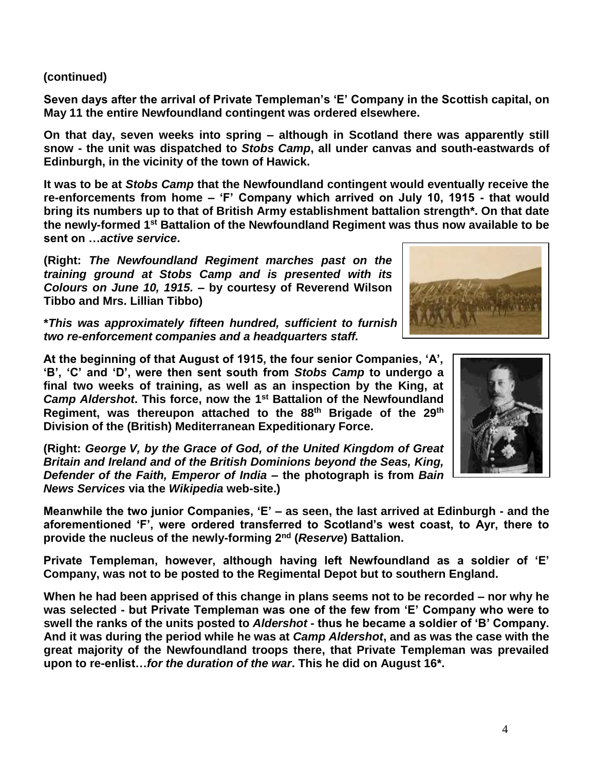## **(continued)**

**Seven days after the arrival of Private Templeman's 'E' Company in the Scottish capital, on May 11 the entire Newfoundland contingent was ordered elsewhere.** 

**On that day, seven weeks into spring – although in Scotland there was apparently still snow - the unit was dispatched to** *Stobs Camp***, all under canvas and south-eastwards of Edinburgh, in the vicinity of the town of Hawick.**

**It was to be at** *Stobs Camp* **that the Newfoundland contingent would eventually receive the re-enforcements from home – 'F' Company which arrived on July 10, 1915 - that would bring its numbers up to that of British Army establishment battalion strength\*. On that date the newly-formed 1st Battalion of the Newfoundland Regiment was thus now available to be sent on …***active service***.**

**(Right:** *The Newfoundland Regiment marches past on the training ground at Stobs Camp and is presented with its Colours on June 10, 1915.* **– by courtesy of Reverend Wilson Tibbo and Mrs. Lillian Tibbo)**

**\****This was approximately fifteen hundred, sufficient to furnish four 'fighting' companies, two re-enforcement companies and a headquarters staff.*

**At the beginning of that August of 1915, the four senior Companies, 'A', 'B', 'C' and 'D', were then sent south from** *Stobs Camp* **to undergo a final two weeks of training, as well as an inspection by the King, at**  *Camp Aldershot***. This force, now the 1st Battalion of the Newfoundland Regiment, was thereupon attached to the 88th Brigade of the 29th Division of the (British) Mediterranean Expeditionary Force.**

**(Right:** *George V, by the Grace of God, of the United Kingdom of Great Britain and Ireland and of the British Dominions beyond the Seas, King, Defender of the Faith, Emperor of India* **– the photograph is from** *Bain News Services* **via the** *Wikipedia* **web-site.)**

**Meanwhile the two junior Companies, 'E' – as seen, the last arrived at Edinburgh - and the aforementioned 'F', were ordered transferred to Scotland's west coast, to Ayr, there to provide the nucleus of the newly-forming 2nd (***Reserve***) Battalion.**

**Private Templeman, however, although having left Newfoundland as a soldier of 'E' Company, was not to be posted to the Regimental Depot but to southern England.**

**When he had been apprised of this change in plans seems not to be recorded – nor why he was selected - but Private Templeman was one of the few from 'E' Company who were to swell the ranks of the units posted to** *Aldershot* **- thus he became a soldier of 'B' Company. And it was during the period while he was at** *Camp Aldershot***, and as was the case with the great majority of the Newfoundland troops there, that Private Templeman was prevailed upon to re-enlist…***for the duration of the war***. This he did on August 16\*.**



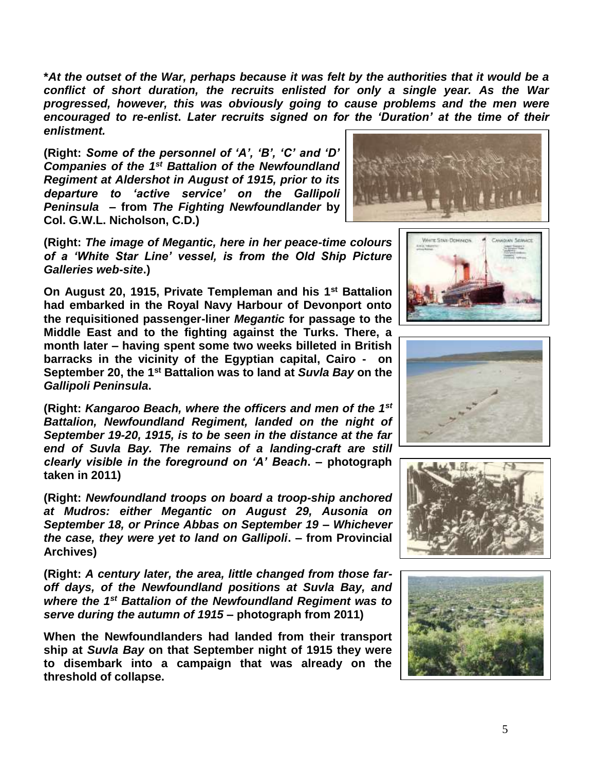**\****At the outset of the War, perhaps because it was felt by the authorities that it would be a conflict of short duration, the recruits enlisted for only a single year. As the War progressed, however, this was obviously going to cause problems and the men were encouraged to re-enlist***.** *Later recruits signed on for the 'Duration' at the time of their enlistment.*

**(Right:** *Some of the personnel of 'A', 'B', 'C' and 'D' Companies of the 1st Battalion of the Newfoundland Regiment at Aldershot in August of 1915, prior to its departure to 'active service' on the Gallipoli Peninsula* **– from** *The Fighting Newfoundlander* **by Col. G.W.L. Nicholson, C.D.)**



**(Right:** *The image of Megantic, here in her peace-time colours of a 'White Star Line' vessel, is from the Old Ship Picture Galleries web-site***.)**

**On August 20, 1915, Private Templeman and his 1st Battalion had embarked in the Royal Navy Harbour of Devonport onto the requisitioned passenger-liner** *Megantic* **for passage to the Middle East and to the fighting against the Turks. There, a month later – having spent some two weeks billeted in British barracks in the vicinity of the Egyptian capital, Cairo - on September 20, the 1st Battalion was to land at** *Suvla Bay* **on the**  *Gallipoli Peninsula***.**

**(Right:** *Kangaroo Beach, where the officers and men of the 1st Battalion, Newfoundland Regiment, landed on the night of September 19-20, 1915, is to be seen in the distance at the far end of Suvla Bay. The remains of a landing-craft are still clearly visible in the foreground on 'A' Beach***. – photograph taken in 2011)**

**(Right:** *Newfoundland troops on board a troop-ship anchored at Mudros: either Megantic on August 29, Ausonia on September 18, or Prince Abbas on September 19 – Whichever the case, they were yet to land on Gallipoli***. – from Provincial Archives)**

**(Right:** *A century later, the area, little changed from those faroff days, of the Newfoundland positions at Suvla Bay, and where the 1st Battalion of the Newfoundland Regiment was to serve during the autumn of 1915* **– photograph from 2011)**

**When the Newfoundlanders had landed from their transport ship at** *Suvla Bay* **on that September night of 1915 they were to disembark into a campaign that was already on the threshold of collapse.**







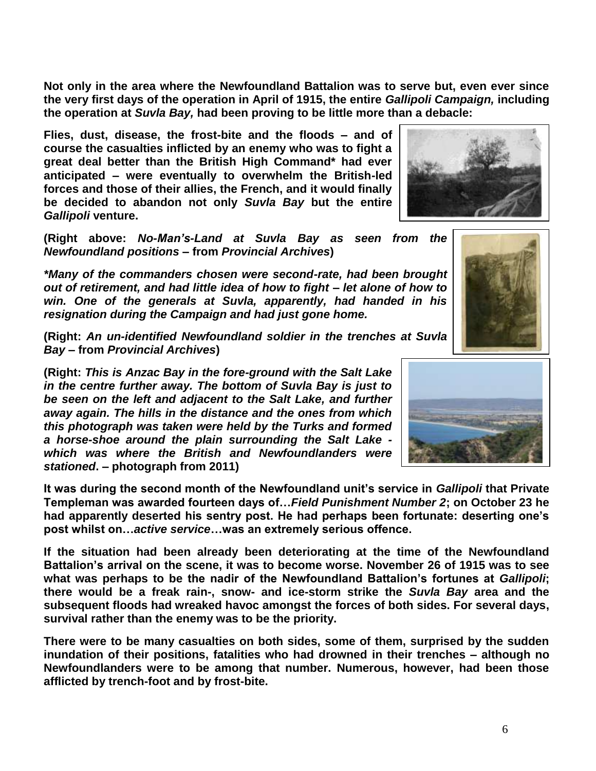6

**Not only in the area where the Newfoundland Battalion was to serve but, even ever since the very first days of the operation in April of 1915, the entire** *Gallipoli Campaign,* **including the operation at** *Suvla Bay,* **had been proving to be little more than a debacle:** 

**Flies, dust, disease, the frost-bite and the floods – and of course the casualties inflicted by an enemy who was to fight a great deal better than the British High Command\* had ever anticipated – were eventually to overwhelm the British-led forces and those of their allies, the French, and it would finally be decided to abandon not only** *Suvla Bay* **but the entire**  *Gallipoli* **venture.**

**(Right above:** *No-Man's-Land at Suvla Bay as seen from the Newfoundland positions* **– from** *Provincial Archives***)**

*\*Many of the commanders chosen were second-rate, had been brought out of retirement, and had little idea of how to fight – let alone of how to win. One of the generals at Suvla, apparently, had handed in his resignation during the Campaign and had just gone home.*

**(Right:** *An un-identified Newfoundland soldier in the trenches at Suvla Bay –* **from** *Provincial Archives***)**

**(Right:** *This is Anzac Bay in the fore-ground with the Salt Lake in the centre further away. The bottom of Suvla Bay is just to be seen on the left and adjacent to the Salt Lake, and further away again. The hills in the distance and the ones from which this photograph was taken were held by the Turks and formed a horse-shoe around the plain surrounding the Salt Lake which was where the British and Newfoundlanders were stationed***. – photograph from 2011)**

**It was during the second month of the Newfoundland unit's service in** *Gallipoli* **that Private Templeman was awarded fourteen days of…***Field Punishment Number 2***; on October 23 he had apparently deserted his sentry post. He had perhaps been fortunate: deserting one's post whilst on…***active service***…was an extremely serious offence.** 

**If the situation had been already been deteriorating at the time of the Newfoundland Battalion's arrival on the scene, it was to become worse. November 26 of 1915 was to see what was perhaps to be the nadir of the Newfoundland Battalion's fortunes at** *Gallipoli***; there would be a freak rain-, snow- and ice-storm strike the** *Suvla Bay* **area and the subsequent floods had wreaked havoc amongst the forces of both sides. For several days, survival rather than the enemy was to be the priority.**

**There were to be many casualties on both sides, some of them, surprised by the sudden inundation of their positions, fatalities who had drowned in their trenches – although no Newfoundlanders were to be among that number. Numerous, however, had been those afflicted by trench-foot and by frost-bite.**





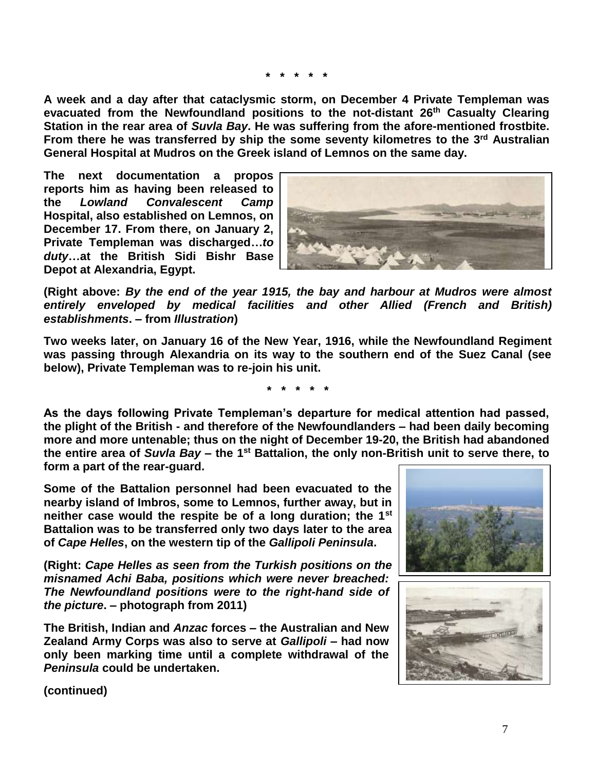**\* \* \* \* \***

**A week and a day after that cataclysmic storm, on December 4 Private Templeman was evacuated from the Newfoundland positions to the not-distant 26th Casualty Clearing Station in the rear area of** *Suvla Bay***. He was suffering from the afore-mentioned frostbite. From there he was transferred by ship the some seventy kilometres to the 3rd Australian General Hospital at Mudros on the Greek island of Lemnos on the same day.** 

**The next documentation a propos reports him as having been released to the** *Lowland Convalescent Camp* **Hospital, also established on Lemnos, on December 17. From there, on January 2, Private Templeman was discharged…***to duty***…at the British Sidi Bishr Base Depot at Alexandria, Egypt.**



**(Right above:** *By the end of the year 1915, the bay and harbour at Mudros were almost entirely enveloped by medical facilities and other Allied (French and British) establishments***. – from** *Illustration***)**

**Two weeks later, on January 16 of the New Year, 1916, while the Newfoundland Regiment was passing through Alexandria on its way to the southern end of the Suez Canal (see below), Private Templeman was to re-join his unit.**

**\* \* \* \* \***

**As the days following Private Templeman's departure for medical attention had passed, the plight of the British - and therefore of the Newfoundlanders – had been daily becoming more and more untenable; thus on the night of December 19-20, the British had abandoned the entire area of** *Suvla Bay* **– the 1st Battalion, the only non-British unit to serve there, to form a part of the rear-guard.** 

**Some of the Battalion personnel had been evacuated to the nearby island of Imbros, some to Lemnos, further away, but in neither case would the respite be of a long duration; the 1st Battalion was to be transferred only two days later to the area of** *Cape Helles***, on the western tip of the** *Gallipoli Peninsula***.**

**(Right:** *Cape Helles as seen from the Turkish positions on the misnamed Achi Baba, positions which were never breached: The Newfoundland positions were to the right-hand side of the picture***. – photograph from 2011)**

**The British, Indian and** *Anzac* **forces – the Australian and New Zealand Army Corps was also to serve at** *Gallipoli* **– had now only been marking time until a complete withdrawal of the**  *Peninsula* **could be undertaken.** 





**(continued)**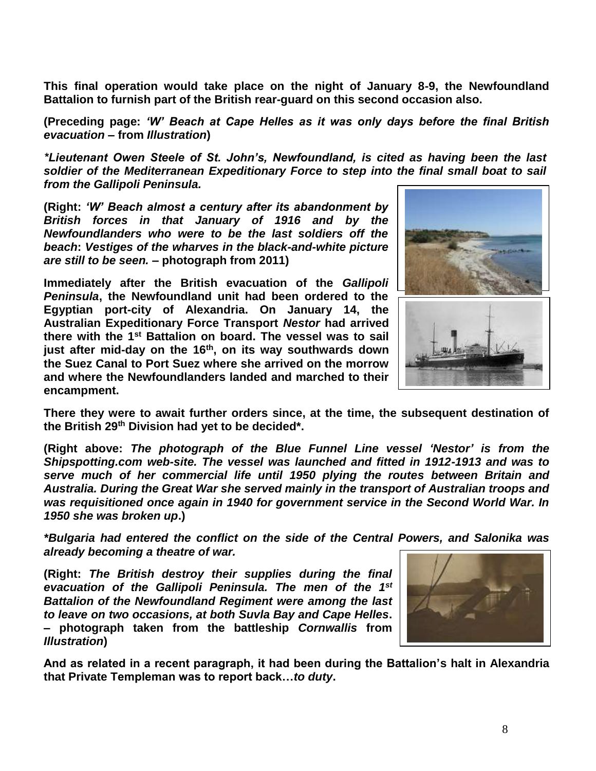**This final operation would take place on the night of January 8-9, the Newfoundland Battalion to furnish part of the British rear-guard on this second occasion also.**

**(Preceding page:** *'W' Beach at Cape Helles as it was only days before the final British evacuation* **– from** *Illustration***)**

*\*Lieutenant Owen Steele of St. John's, Newfoundland, is cited as having been the last soldier of the Mediterranean Expeditionary Force to step into the final small boat to sail from the Gallipoli Peninsula.*

**(Right:** *'W' Beach almost a century after its abandonment by British forces in that January of 1916 and by the Newfoundlanders who were to be the last soldiers off the beach***:** *Vestiges of the wharves in the black-and-white picture are still to be seen.* **– photograph from 2011)**

**Immediately after the British evacuation of the** *Gallipoli Peninsula***, the Newfoundland unit had been ordered to the Egyptian port-city of Alexandria. On January 14, the Australian Expeditionary Force Transport** *Nestor* **had arrived there with the 1st Battalion on board. The vessel was to sail just after mid-day on the 16th, on its way southwards down the Suez Canal to Port Suez where she arrived on the morrow and where the Newfoundlanders landed and marched to their encampment.**



**There they were to await further orders since, at the time, the subsequent destination of the British 29th Division had yet to be decided\*.**

**(Right above:** *The photograph of the Blue Funnel Line vessel 'Nestor' is from the Shipspotting.com web-site. The vessel was launched and fitted in 1912-1913 and was to serve much of her commercial life until 1950 plying the routes between Britain and Australia. During the Great War she served mainly in the transport of Australian troops and was requisitioned once again in 1940 for government service in the Second World War. In 1950 she was broken up***.)**

*\*Bulgaria had entered the conflict on the side of the Central Powers, and Salonika was already becoming a theatre of war.*

**(Right:** *The British destroy their supplies during the final evacuation of the Gallipoli Peninsula. The men of the 1st Battalion of the Newfoundland Regiment were among the last to leave on two occasions, at both Suvla Bay and Cape Helles***. – photograph taken from the battleship** *Cornwallis* **from**  *Illustration***)**



**And as related in a recent paragraph, it had been during the Battalion's halt in Alexandria that Private Templeman was to report back…***to duty***.**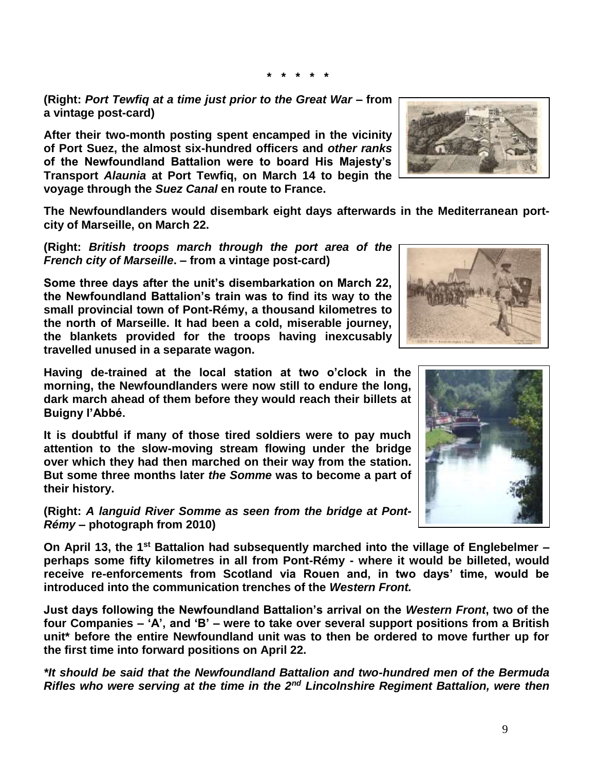**(Right:** *Port Tewfiq at a time just prior to the Great War –* **from a vintage post-card)**

**After their two-month posting spent encamped in the vicinity of Port Suez, the almost six-hundred officers and** *other ranks* **of the Newfoundland Battalion were to board His Majesty's Transport** *Alaunia* **at Port Tewfiq, on March 14 to begin the voyage through the** *Suez Canal* **en route to France.**

**The Newfoundlanders would disembark eight days afterwards in the Mediterranean portcity of Marseille, on March 22.**

**\* \* \* \* \***

**(Right:** *British troops march through the port area of the French city of Marseille***. – from a vintage post-card)**

**Some three days after the unit's disembarkation on March 22, the Newfoundland Battalion's train was to find its way to the small provincial town of Pont-Rémy, a thousand kilometres to the north of Marseille. It had been a cold, miserable journey, the blankets provided for the troops having inexcusably travelled unused in a separate wagon.**

**Having de-trained at the local station at two o'clock in the morning, the Newfoundlanders were now still to endure the long, dark march ahead of them before they would reach their billets at Buigny l'Abbé.**

**It is doubtful if many of those tired soldiers were to pay much attention to the slow-moving stream flowing under the bridge over which they had then marched on their way from the station. But some three months later** *the Somme* **was to become a part of their history.**

**(Right:** *A languid River Somme as seen from the bridge at Pont-Rémy* **– photograph from 2010)**

**On April 13, the 1st Battalion had subsequently marched into the village of Englebelmer – perhaps some fifty kilometres in all from Pont-Rémy - where it would be billeted, would receive re-enforcements from Scotland via Rouen and, in two days' time, would be introduced into the communication trenches of the** *Western Front.*

**Just days following the Newfoundland Battalion's arrival on the** *Western Front***, two of the four Companies – 'A', and 'B' – were to take over several support positions from a British unit\* before the entire Newfoundland unit was to then be ordered to move further up for the first time into forward positions on April 22.**

*\*It should be said that the Newfoundland Battalion and two-hundred men of the Bermuda Rifles who were serving at the time in the 2nd Lincolnshire Regiment Battalion, were then* 





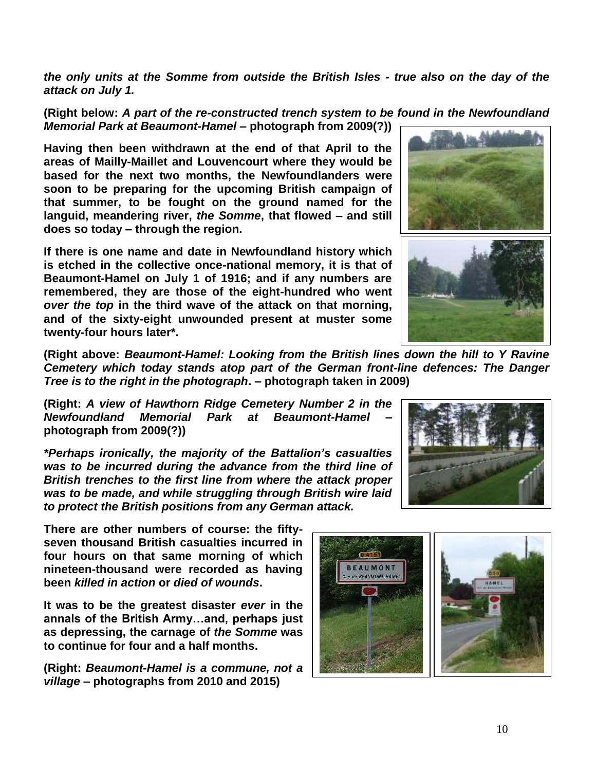*the only units at the Somme from outside the British Isles - true also on the day of the attack on July 1.*

**(Right below:** *A part of the re-constructed trench system to be found in the Newfoundland Memorial Park at Beaumont-Hamel* **– photograph from 2009(?))**

**Having then been withdrawn at the end of that April to the areas of Mailly-Maillet and Louvencourt where they would be based for the next two months, the Newfoundlanders were soon to be preparing for the upcoming British campaign of that summer, to be fought on the ground named for the languid, meandering river,** *the Somme***, that flowed – and still does so today – through the region.** 

**If there is one name and date in Newfoundland history which is etched in the collective once-national memory, it is that of Beaumont-Hamel on July 1 of 1916; and if any numbers are remembered, they are those of the eight-hundred who went**  *over the top* **in the third wave of the attack on that morning, and of the sixty-eight unwounded present at muster some twenty-four hours later\*.**

**(Right above:** *Beaumont-Hamel: Looking from the British lines down the hill to Y Ravine Cemetery which today stands atop part of the German front-line defences: The Danger Tree is to the right in the photograph***. – photograph taken in 2009)**

**(Right:** *A view of Hawthorn Ridge Cemetery Number 2 in the Newfoundland Memorial Park at Beaumont-Hamel* **– photograph from 2009(?))**

*\*Perhaps ironically, the majority of the Battalion's casualties was to be incurred during the advance from the third line of British trenches to the first line from where the attack proper was to be made, and while struggling through British wire laid to protect the British positions from any German attack.*

**There are other numbers of course: the fiftyseven thousand British casualties incurred in four hours on that same morning of which nineteen-thousand were recorded as having been** *killed in action* **or** *died of wounds***.** 

**It was to be the greatest disaster** *ever* **in the annals of the British Army…and, perhaps just as depressing, the carnage of** *the Somme* **was to continue for four and a half months.**

**(Right:** *Beaumont-Hamel is a commune, not a village* **– photographs from 2010 and 2015)**